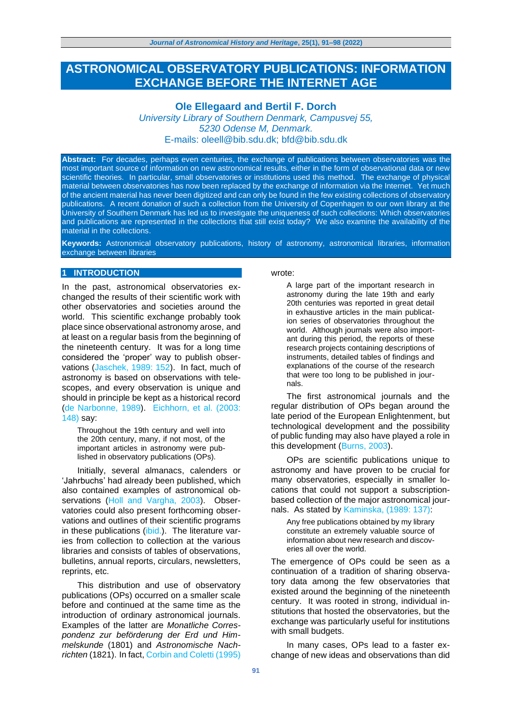# **ASTRONOMICAL OBSERVATORY PUBLICATIONS: INFORMATION EXCHANGE BEFORE THE INTERNET AGE**

# **Ole Ellegaard and Bertil F. Dorch**

*University Library of Southern Denmark, Campusvej 55, 5230 Odense M, Denmark.* E-mails: [oleell@bib.sdu.dk;](mailto:oleell@bib.sdu.dk) [bfd@bib.sdu.dk](mailto:bfd@bib.sdu.dk)

**Abstract:** For decades, perhaps even centuries, the exchange of publications between observatories was the most important source of information on new astronomical results, either in the form of observational data or new scientific theories. In particular, small observatories or institutions used this method. The exchange of physical material between observatories has now been replaced by the exchange of information via the Internet. Yet much of the ancient material has never been digitized and can only be found in the few existing collections of observatory publications. A recent donation of such a collection from the University of Copenhagen to our own library at the University of Southern Denmark has led us to investigate the uniqueness of such collections: Which observatories and publications are represented in the collections that still exist today? We also examine the availability of the material in the collections.

**Keywords:** Astronomical observatory publications, history of astronomy, astronomical libraries, information exchange between libraries

### **1 INTRODUCTION**

In the past, astronomical observatories exchanged the results of their scientific work with other observatories and societies around the world. This scientific exchange probably took place since observational astronomy arose, and at least on a regular basis from the beginning of the nineteenth century. It was for a long time considered the 'proper' way to publish observations (Jaschek, 1989: 152). In fact, much of astronomy is based on observations with telescopes, and every observation is unique and should in principle be kept as a historical record (de Narbonne, 1989). Eichhorn, et al. (2003: 148) say:

Throughout the 19th century and well into the 20th century, many, if not most, of the important articles in astronomy were published in observatory publications (OPs).

Initially, several almanacs, calenders or 'Jahrbuchs' had already been published, which also contained examples of astronomical observations (Holl and Vargha, 2003). Observatories could also present forthcoming observations and outlines of their scientific programs in these publications (ibid.). The literature varies from collection to collection at the various libraries and consists of tables of observations, bulletins, annual reports, circulars, newsletters, reprints, etc.

This distribution and use of observatory publications (OPs) occurred on a smaller scale before and continued at the same time as the introduction of ordinary astronomical journals. Examples of the latter are *Monatliche Correspondenz zur beförderung der Erd und Himmelskunde* (1801) and *Astronomische Nachrichten* (1821). In fact, Corbin and Coletti (1995)

wrote:

A large part of the important research in astronomy during the late 19th and early 20th centuries was reported in great detail in exhaustive articles in the main publication series of observatories throughout the world. Although journals were also important during this period, the reports of these research projects containing descriptions of instruments, detailed tables of findings and explanations of the course of the research that were too long to be published in journals.

The first astronomical journals and the regular distribution of OPs began around the late period of the European Enlightenment, but technological development and the possibility of public funding may also have played a role in this development (Burns, 2003).

OPs are scientific publications unique to astronomy and have proven to be crucial for many observatories, especially in smaller locations that could not support a subscriptionbased collection of the major astronomical journals. As stated by Kaminska, (1989: 137):

Any free publications obtained by my library constitute an extremely valuable source of information about new research and discoveries all over the world.

The emergence of OPs could be seen as a continuation of a tradition of sharing observatory data among the few observatories that existed around the beginning of the nineteenth century. It was rooted in strong, individual institutions that hosted the observatories, but the exchange was particularly useful for institutions with small budgets.

In many cases, OPs lead to a faster exchange of new ideas and observations than did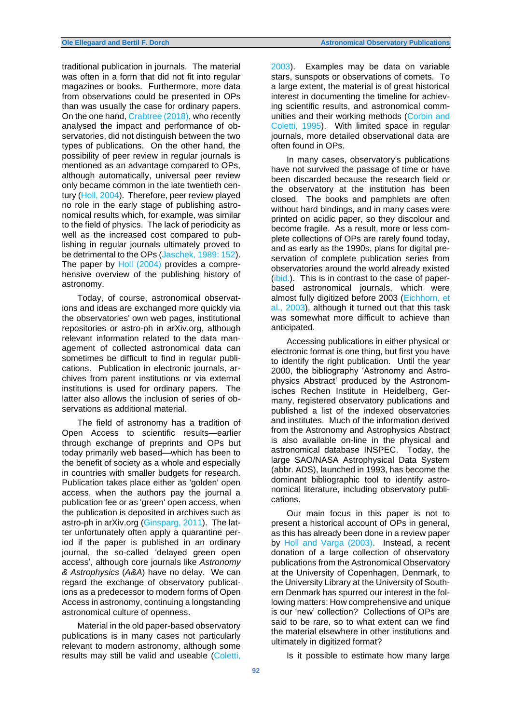traditional publication in journals. The material was often in a form that did not fit into regular magazines or books. Furthermore, more data from observations could be presented in OPs than was usually the case for ordinary papers. On the one hand, Crabtree (2018), who recently analysed the impact and performance of observatories, did not distinguish between the two types of publications. On the other hand, the possibility of peer review in regular journals is mentioned as an advantage compared to OPs, although automatically, universal peer review only became common in the late twentieth century (Holl, 2004). Therefore, peer review played no role in the early stage of publishing astronomical results which, for example, was similar to the field of physics. The lack of periodicity as well as the increased cost compared to publishing in regular journals ultimately proved to be detrimental to the OPs (Jaschek, 1989: 152). The paper by Holl (2004) provides a comprehensive overview of the publishing history of astronomy.

Today, of course, astronomical observations and ideas are exchanged more quickly via the observatories' own web pages, institutional repositories or astro-ph in arXiv.org, although relevant information related to the data management of collected astronomical data can sometimes be difficult to find in regular publications. Publication in electronic journals, archives from parent institutions or via external institutions is used for ordinary papers. The latter also allows the inclusion of series of observations as additional material.

The field of astronomy has a tradition of Open Access to scientific results—earlier through exchange of preprints and OPs but today primarily web based—which has been to the benefit of society as a whole and especially in countries with smaller budgets for research. Publication takes place either as 'golden' open access, when the authors pay the journal a publication fee or as 'green' open access, when the publication is deposited in archives such as astro-ph in arXiv.org (Ginsparg, 2011). The latter unfortunately often apply a quarantine period if the paper is published in an ordinary journal, the so-called 'delayed green open access', although core journals like *Astronomy & Astrophysics* (*A&A*) have no delay. We can regard the exchange of observatory publications as a predecessor to modern forms of Open Access in astronomy, continuing a longstanding astronomical culture of openness.

Material in the old paper-based observatory publications is in many cases not particularly relevant to modern astronomy, although some results may still be valid and useable (Coletti,

2003). Examples may be data on variable stars, sunspots or observations of comets. To a large extent, the material is of great historical interest in documenting the timeline for achieving scientific results, and astronomical communities and their working methods (Corbin and Coletti, 1995). With limited space in regular journals, more detailed observational data are often found in OPs.

In many cases, observatory's publications have not survived the passage of time or have been discarded because the research field or the observatory at the institution has been closed. The books and pamphlets are often without hard bindings, and in many cases were printed on acidic paper, so they discolour and become fragile. As a result, more or less complete collections of OPs are rarely found today, and as early as the 1990s, plans for digital preservation of complete publication series from observatories around the world already existed (ibid.). This is in contrast to the case of paperbased astronomical journals, which were almost fully digitized before 2003 (Eichhorn, et al., 2003), although it turned out that this task was somewhat more difficult to achieve than anticipated.

Accessing publications in either physical or electronic format is one thing, but first you have to identify the right publication. Until the year 2000, the bibliography 'Astronomy and Astrophysics Abstract' produced by the Astronomisches Rechen Institute in Heidelberg, Germany, registered observatory publications and published a list of the indexed observatories and institutes. Much of the information derived from the Astronomy and Astrophysics Abstract is also available on-line in the physical and astronomical database INSPEC. Today, the large SAO/NASA Astrophysical Data System (abbr. ADS), launched in 1993, has become the dominant bibliographic tool to identify astronomical literature, including observatory publications.

Our main focus in this paper is not to present a historical account of OPs in general, as this has already been done in a review paper by Holl and Varga (2003). Instead, a recent donation of a large collection of observatory publications from the Astronomical Observatory at the University of Copenhagen, Denmark, to the University Library at the University of Southern Denmark has spurred our interest in the following matters: How comprehensive and unique is our 'new' collection? Collections of OPs are said to be rare, so to what extent can we find the material elsewhere in other institutions and ultimately in digitized format?

Is it possible to estimate how many large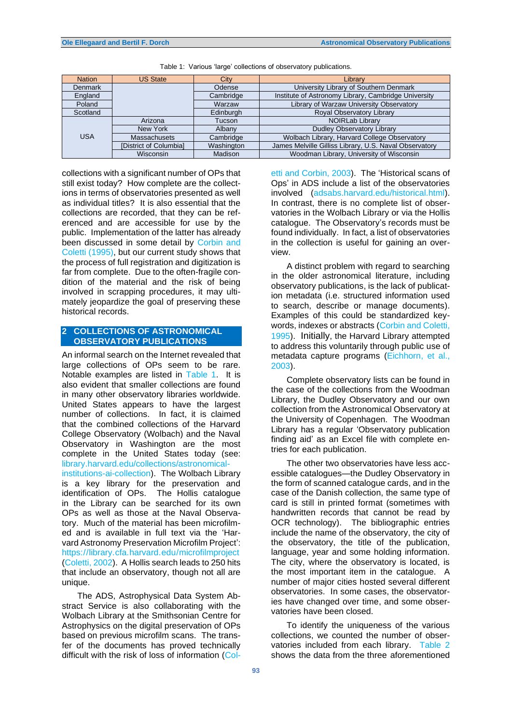| <b>Nation</b>  | <b>US State</b>        | City       | Library                                                |  |
|----------------|------------------------|------------|--------------------------------------------------------|--|
| <b>Denmark</b> |                        | Odense     | University Library of Southern Denmark                 |  |
| England        |                        | Cambridge  | Institute of Astronomy Library, Cambridge University   |  |
| Poland         |                        | Warzaw     | Library of Warzaw University Observatory               |  |
| Scotland       |                        | Edinburgh  | Royal Observatory Library                              |  |
| <b>USA</b>     | Arizona                | Tucson     | <b>NOIRLab Library</b>                                 |  |
|                | New York               | Albany     | <b>Dudley Observatory Library</b>                      |  |
|                | Massachusets           | Cambridge  | Wolbach Library, Harvard College Observatory           |  |
|                | [District of Columbia] | Washington | James Melville Gilliss Library, U.S. Naval Observatory |  |
|                | <b>Wisconsin</b>       | Madison    | Woodman Library, University of Wisconsin               |  |

Table 1: Various 'large' collections of observatory publications.

collections with a significant number of OPs that still exist today? How complete are the collections in terms of observatories presented as well as individual titles? It is also essential that the collections are recorded, that they can be referenced and are accessible for use by the public. Implementation of the latter has already been discussed in some detail by Corbin and Coletti (1995), but our current study shows that the process of full registration and digitization is far from complete. Due to the often-fragile condition of the material and the risk of being involved in scrapping procedures, it may ultimately jeopardize the goal of preserving these historical records.

# **2 COLLECTIONS OF ASTRONOMICAL OBSERVATORY PUBLICATIONS**

An informal search on the Internet revealed that large collections of OPs seem to be rare. Notable examples are listed in Table 1. It is also evident that smaller collections are found in many other observatory libraries worldwide. United States appears to have the largest number of collections. In fact, it is claimed that the combined collections of the Harvard College Observatory (Wolbach) and the Naval Observatory in Washington are the most complete in the United States today (see: library.harvard.edu/collections/astronomicalinstitutions-ai-collection). The Wolbach Library is a key library for the preservation and identification of OPs. The Hollis catalogue in the Library can be searched for its own OPs as well as those at the Naval Observatory. Much of the material has been microfilmed and is available in full text via the 'Harvard Astronomy Preservation Microfilm Project': https://library.cfa.harvard.edu/microfilmproject (Coletti, 2002). A Hollis search leads to 250 hits that include an observatory, though not all are unique.

The ADS, Astrophysical Data System Abstract Service is also collaborating with the Wolbach Library at the Smithsonian Centre for Astrophysics on the digital preservation of OPs based on previous microfilm scans. The transfer of the documents has proved technically difficult with the risk of loss of information (Coletti and Corbin, 2003). The 'Historical scans of Ops' in ADS include a list of the observatories involved (adsabs.harvard.edu/historical.html). In contrast, there is no complete list of observatories in the Wolbach Library or via the Hollis catalogue. The Observatory's records must be found individually. In fact, a list of observatories in the collection is useful for gaining an overview.

A distinct problem with regard to searching in the older astronomical literature, including observatory publications, is the lack of publication metadata (i.e. structured information used to search, describe or manage documents). Examples of this could be standardized keywords, indexes or abstracts (Corbin and Coletti, 1995). Initially, the Harvard Library attempted to address this voluntarily through public use of metadata capture programs (Eichhorn, et al., 2003).

Complete observatory lists can be found in the case of the collections from the Woodman Library, the Dudley Observatory and our own collection from the Astronomical Observatory at the University of Copenhagen. The Woodman Library has a regular 'Observatory publication finding aid' as an Excel file with complete entries for each publication.

The other two observatories have less accessible catalogues—the Dudley Observatory in the form of scanned catalogue cards, and in the case of the Danish collection, the same type of card is still in printed format (sometimes with handwritten records that cannot be read by OCR technology). The bibliographic entries include the name of the observatory, the city of the observatory, the title of the publication, language, year and some holding information. The city, where the observatory is located, is the most important item in the catalogue. A number of major cities hosted several different observatories. In some cases, the observatories have changed over time, and some observatories have been closed.

To identify the uniqueness of the various collections, we counted the number of observatories included from each library. Table 2 shows the data from the three aforementioned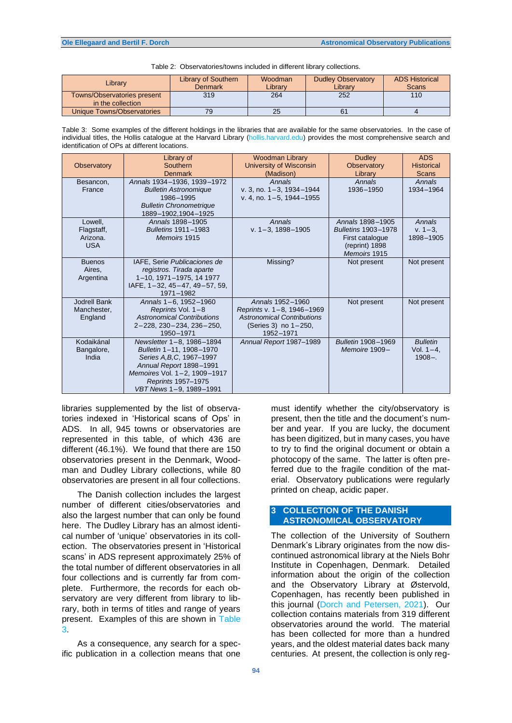| Table 2: Observatories/towns included in different library collections. |  |
|-------------------------------------------------------------------------|--|
|-------------------------------------------------------------------------|--|

| Library                                          | <b>Library of Southern</b><br><b>Denmark</b> | Woodman<br>Librarv | <b>Dudley Observatory</b><br>Librarv | <b>ADS Historical</b><br><b>Scans</b> |
|--------------------------------------------------|----------------------------------------------|--------------------|--------------------------------------|---------------------------------------|
| Towns/Observatories present<br>in the collection | 319                                          | 264                | 252                                  | 110                                   |
| Unique Towns/Observatories                       | 79                                           |                    |                                      |                                       |

Table 3: Some examples of the different holdings in the libraries that are available for the same observatories. In the case of individual titles, the Hollis catalogue at the Harvard Library (hollis.harvard.edu) provides the most comprehensive search and identification of OPs at different locations.

| Observatory                                     | Library of<br>Southern<br><b>Denmark</b>                                                                                                                                                     | <b>Woodman Library</b><br><b>University of Wisconsin</b><br>(Madison)                                                    | <b>Dudley</b><br><b>Observatory</b><br>Library                                               | <b>ADS</b><br><b>Historical</b><br><b>Scans</b> |
|-------------------------------------------------|----------------------------------------------------------------------------------------------------------------------------------------------------------------------------------------------|--------------------------------------------------------------------------------------------------------------------------|----------------------------------------------------------------------------------------------|-------------------------------------------------|
| Besancon,<br>France                             | Annals 1934-1936, 1939-1972<br><b>Bulletin Astronomique</b><br>1986-1995<br><b>Bulletin Chronometrique</b><br>1889-1902,1904-1925                                                            | Annals<br>v. 3, no. $1 - 3$ , $1934 - 1944$<br>v. 4, no. $1-5$ , $1944-1955$                                             | Annals<br>1936-1950                                                                          | Annals<br>1934-1964                             |
| Lowell,<br>Flagstaff,<br>Arizona.<br><b>USA</b> | Annals 1898-1905<br>Bulletins 1911-1983<br>Memoirs 1915                                                                                                                                      | Annals<br>v. $1 - 3$ , $1898 - 1905$                                                                                     | Annals 1898-1905<br>Bulletins 1903-1978<br>First catalogue<br>(reprint) 1898<br>Memoirs 1915 | Annals<br>$v. 1 - 3.$<br>1898-1905              |
| <b>Buenos</b><br>Aires,<br>Argentina            | IAFE, Serie Publicaciones de<br>registros. Tirada aparte<br>1-10, 1971-1975, 14 1977<br>IAFE, 1-32, 45-47, 49-57, 59,<br>1971-1982                                                           | Missing?                                                                                                                 | Not present                                                                                  | Not present                                     |
| Jodrell Bank<br>Manchester,<br>England          | Annals 1-6, 1952-1960<br>Reprints Vol. 1-8<br><b>Astronomical Contributions</b><br>$2 - 228$ , $230 - 234$ , $236 - 250$ ,<br>1950-1971                                                      | Annals 1952-1960<br>Reprints v. 1-8, 1946-1969<br><b>Astronomical Contributions</b><br>(Series 3) no 1-250,<br>1952-1971 | Not present                                                                                  | Not present                                     |
| Kodaikánal<br>Bangalore,<br>India               | Newsletter 1-8, 1986-1894<br>Bulletin 1-11, 1908-1970<br>Series A.B.C. 1967-1997<br>Annual Report 1898-1991<br>Memoires Vol. 1-2, 1909-1917<br>Reprints 1957-1975<br>VBT News 1-9, 1989-1991 | Annual Report 1987-1989                                                                                                  | Bulletin 1908-1969<br>Memoire 1909-                                                          | <b>Bulletin</b><br>Vol. $1 - 4$ .<br>$1908 -$   |

libraries supplemented by the list of observatories indexed in 'Historical scans of Ops' in ADS. In all, 945 towns or observatories are represented in this table, of which 436 are different (46.1%). We found that there are 150 observatories present in the Denmark, Woodman and Dudley Library collections, while 80 observatories are present in all four collections.

The Danish collection includes the largest number of different cities/observatories and also the largest number that can only be found here. The Dudley Library has an almost identical number of 'unique' observatories in its collection. The observatories present in 'Historical scans' in ADS represent approximately 25% of the total number of different observatories in all four collections and is currently far from complete. Furthermore, the records for each observatory are very different from library to library, both in terms of titles and range of years present. Examples of this are shown in Table 3.

As a consequence, any search for a specific publication in a collection means that one

**94**

must identify whether the city/observatory is present, then the title and the document's number and year. If you are lucky, the document has been digitized, but in many cases, you have to try to find the original document or obtain a photocopy of the same. The latter is often preferred due to the fragile condition of the material. Observatory publications were regularly printed on cheap, acidic paper.

### **3 COLLECTION OF THE DANISH ASTRONOMICAL OBSERVATORY**

The collection of the University of Southern Denmark's Library originates from the now discontinued astronomical library at the Niels Bohr Institute in Copenhagen, Denmark. Detailed information about the origin of the collection and the Observatory Library at Østervold, Copenhagen, has recently been published in this journal (Dorch and Petersen, 2021). Our collection contains materials from 319 different observatories around the world. The material has been collected for more than a hundred years, and the oldest material dates back many centuries. At present, the collection is only reg-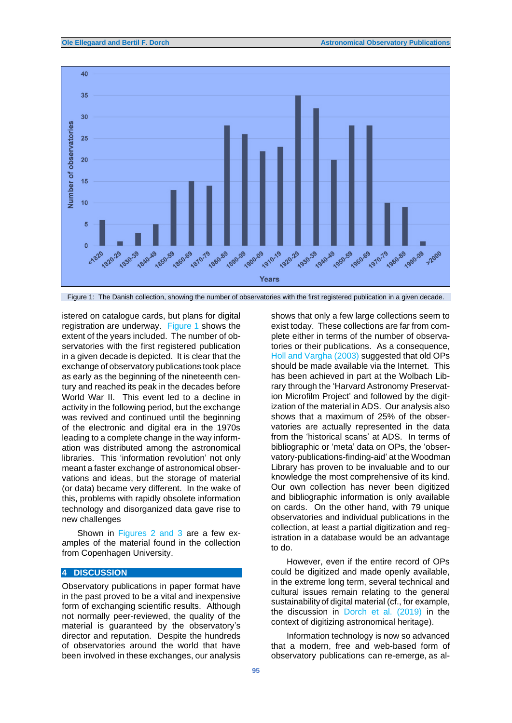

Figure 1: The Danish collection, showing the number of observatories with the first registered publication in a given decade.

istered on catalogue cards, but plans for digital registration are underway. Figure 1 shows the extent of the years included. The number of observatories with the first registered publication in a given decade is depicted. It is clear that the exchange of observatory publications took place as early as the beginning of the nineteenth century and reached its peak in the decades before World War II. This event led to a decline in activity in the following period, but the exchange was revived and continued until the beginning of the electronic and digital era in the 1970s leading to a complete change in the way information was distributed among the astronomical libraries. This 'information revolution' not only meant a faster exchange of astronomical observations and ideas, but the storage of material (or data) became very different. In the wake of this, problems with rapidly obsolete information technology and disorganized data gave rise to new challenges

Shown in Figures 2 and 3 are a few examples of the material found in the collection from Copenhagen University.

# **4 DISCUSSION**

Observatory publications in paper format have in the past proved to be a vital and inexpensive form of exchanging scientific results. Although not normally peer-reviewed, the quality of the material is guaranteed by the observatory's director and reputation. Despite the hundreds of observatories around the world that have been involved in these exchanges, our analysis

shows that only a few large collections seem to exist today. These collections are far from complete either in terms of the number of observatories or their publications. As a consequence, Holl and Vargha (2003) suggested that old OPs should be made available via the Internet. This has been achieved in part at the Wolbach Library through the 'Harvard Astronomy Preservation Microfilm Project' and followed by the digitization of the material in ADS. Our analysis also shows that a maximum of 25% of the observatories are actually represented in the data from the 'historical scans' at ADS. In terms of bibliographic or 'meta' data on OPs, the 'observatory-publications-finding-aid' at the Woodman Library has proven to be invaluable and to our knowledge the most comprehensive of its kind. Our own collection has never been digitized and bibliographic information is only available on cards. On the other hand, with 79 unique observatories and individual publications in the collection, at least a partial digitization and registration in a database would be an advantage to do.

However, even if the entire record of OPs could be digitized and made openly available, in the extreme long term, several technical and cultural issues remain relating to the general sustainability of digital material (cf., for example, the discussion in Dorch et al. (2019) in the context of digitizing astronomical heritage).

Information technology is now so advanced that a modern, free and web-based form of observatory publications can re-emerge, as al-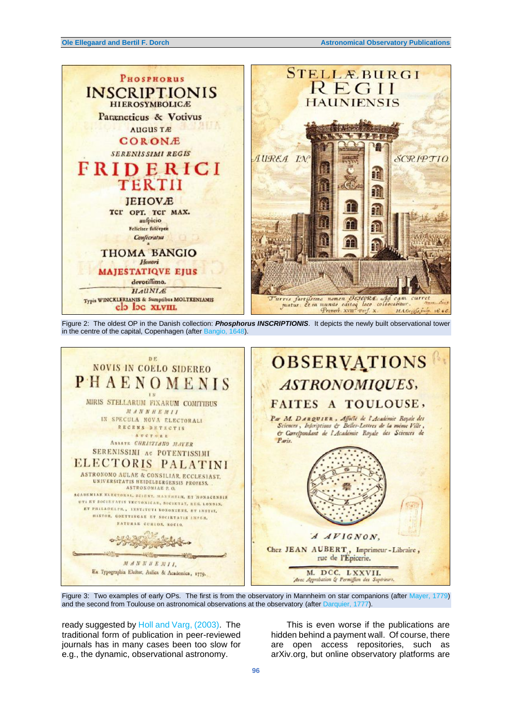

Figure 2: The oldest OP in the Danish collection: *Phosphorus INSCRIPTIONIS*. It depicts the newly built observational tower in the centre of the capital, Copenhagen (after Bangio, 1648).



Figure 3: Two examples of early OPs. The first is from the observatory in Mannheim on star companions (after Mayer, 1779) and the second from Toulouse on astronomical observations at the observatory (after Darquier, 1777).

ready suggested by Holl and Varg, (2003). The traditional form of publication in peer-reviewed journals has in many cases been too slow for e.g., the dynamic, observational astronomy.

This is even worse if the publications are hidden behind a payment wall. Of course, there are open access repositories, such as arXiv.org, but online observatory platforms are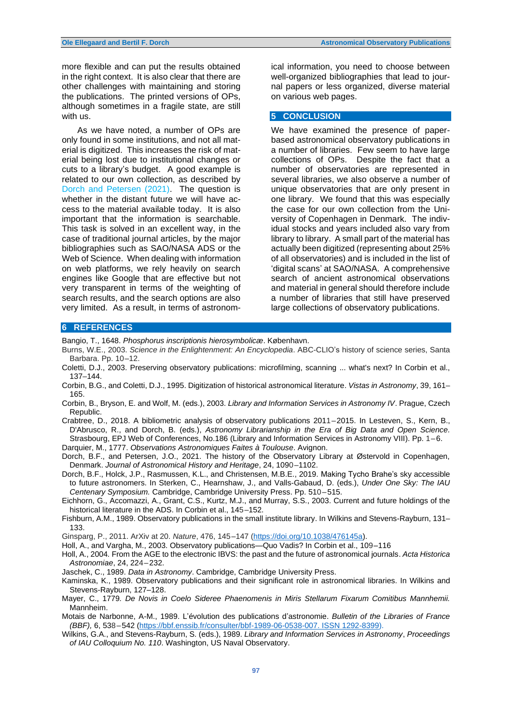more flexible and can put the results obtained in the right context. It is also clear that there are other challenges with maintaining and storing the publications. The printed versions of OPs, although sometimes in a fragile state, are still with us.

As we have noted, a number of OPs are only found in some institutions, and not all material is digitized. This increases the risk of material being lost due to institutional changes or cuts to a library's budget. A good example is related to our own collection, as described by Dorch and Petersen (2021). The question is whether in the distant future we will have access to the material available today. It is also important that the information is searchable. This task is solved in an excellent way, in the case of traditional journal articles, by the major bibliographies such as SAO/NASA ADS or the Web of Science. When dealing with information on web platforms, we rely heavily on search engines like Google that are effective but not very transparent in terms of the weighting of search results, and the search options are also very limited. As a result, in terms of astronomical information, you need to choose between well-organized bibliographies that lead to journal papers or less organized, diverse material on various web pages.

### **5 CONCLUSION**

We have examined the presence of paperbased astronomical observatory publications in a number of libraries. Few seem to have large collections of OPs. Despite the fact that a number of observatories are represented in several libraries, we also observe a number of unique observatories that are only present in one library. We found that this was especially the case for our own collection from the University of Copenhagen in Denmark. The individual stocks and years included also vary from library to library. A small part of the material has actually been digitized (representing about 25% of all observatories) and is included in the list of 'digital scans' at SAO/NASA. A comprehensive search of ancient astronomical observations and material in general should therefore include a number of libraries that still have preserved large collections of observatory publications.

### **6 REFERENCES**

Bangio, T., 1648. *Phosphorus inscriptionis hierosymbolicæ*. København.

- Burns, W.E., 2003. *Science in the Enlightenment: An Encyclopedia*. ABC-CLIO's history of science series, Santa Barbara. Pp. 10–12.
- Coletti, D.J., 2003. Preserving observatory publications: microfilming, scanning ... what's next? In Corbin et al., 137–144.
- Corbin, B.G., and Coletti, D.J., 1995. Digitization of historical astronomical literature. *Vistas in Astronomy*, 39, 161– 165.
- Corbin, B., Bryson, E. and Wolf, M. (eds.), 2003. *Library and Information Services in Astronomy IV*. Prague, Czech Republic.
- Crabtree, D., 2018. A bibliometric analysis of observatory publications 2011–2015. In Lesteven, S., Kern, B., D'Abrusco, R., and Dorch, B. (eds.), *Astronomy Librarianship in the Era of Big Data and Open Science.* Strasbourg, EPJ Web of Conferences, No.186 (Library and Information Services in Astronomy VIII). Pp. 1–6.

Darquier, M., 1777. *Observations Astronomiques Faites à Toulouse*. Avignon.

- Dorch, B.F., and Petersen, J.O., 2021. The history of the Observatory Library at Østervold in Copenhagen, Denmark. *Journal of Astronomical History and Heritage*, 24, 1090–1102.
- Dorch, B.F., Holck, J.P., Rasmussen, K.L., and Christensen, M.B.E., 2019. Making Tycho Brahe's sky accessible to future astronomers. In Sterken, C., Hearnshaw, J., and Valls-Gabaud, D. (eds.), *Under One Sky: The IAU Centenary Symposium.* Cambridge, Cambridge University Press. Pp. 510–515.
- Eichhorn, G., Accomazzi, A., Grant, C.S., Kurtz, M.J., and Murray, S.S., 2003. Current and future holdings of the historical literature in the ADS. In Corbin et al., 145–152.
- Fishburn, A.M., 1989. Observatory publications in the small institute library. In Wilkins and Stevens-Rayburn, 131– 133.

Ginsparg, P., 2011. ArXiv at 20. *Nature*, 476, 145–147 [\(https://doi.org/10.1038/476145a\)](https://doi.org/10.1038/476145a).

Holl, A., and Vargha, M., 2003. Observatory publications—Quo Vadis? In Corbin et al., 109–116

Holl, A., 2004*.* From the AGE to the electronic IBVS: the past and the future of astronomical journals. *Acta Historica Astronomiae*, 24, 224–232.

Jaschek, C., 1989. *Data in Astronomy*. Cambridge, Cambridge University Press.

- Kaminska, K., 1989. Observatory publications and their significant role in astronomical libraries. In Wilkins and Stevens-Rayburn, 127–128.
- Mayer, C., 1779*. De Novis in Coelo Sideree Phaenomenis in Miris Stellarum Fixarum Comitibus Mannhemii.* Mannheim.
- Motais de Narbonne, A-M., 1989. L'évolution des publications d'astronomie. *Bulletin of the Libraries of France (BBF),* 6, 538–542 [\(https://bbf.enssib.fr/consulter/bbf-1989-06-0538-007. ISSN 1292-8399\)](https://bbf.enssib.fr/consulter/bbf-1989-06-0538-007.%20ISSN%201292-8399).
- Wilkins, G.A., and Stevens-Rayburn, S. (eds.), 1989. *Library and Information Services in Astronomy*, *Proceedings of IAU Colloquium No. 110*. Washington, US Naval Observatory.